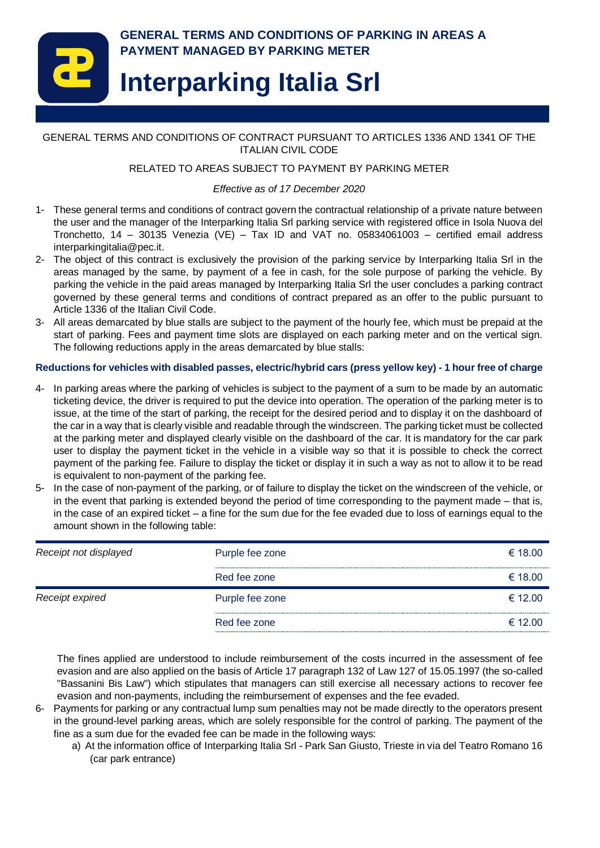

GENERAL TERMS AND CONDITIONS OF CONTRACT PURSUANT TO ARTICLES 1336 AND 1341 OF THE ITALIAN CIVIL CODE

#### RELATED TO AREAS SUBJECT TO PAYMENT BY PARKING METER

#### *Effective as of 17 December 2020*

- 1- These general terms and conditions of contract govern the contractual relationship of a private nature between the user and the manager of the Interparking Italia Srl parking service with registered office in Isola Nuova del Tronchetto, 14 – 30135 Venezia (VE) – Tax ID and VAT no. 05834061003 – certified email address interparkingitalia@pec.it.
- 2- The object of this contract is exclusively the provision of the parking service by Interparking Italia Srl in the areas managed by the same, by payment of a fee in cash, for the sole purpose of parking the vehicle. By parking the vehicle in the paid areas managed by Interparking Italia Srl the user concludes a parking contract governed by these general terms and conditions of contract prepared as an offer to the public pursuant to Article 1336 of the Italian Civil Code.
- 3- All areas demarcated by blue stalls are subject to the payment of the hourly fee, which must be prepaid at the start of parking. Fees and payment time slots are displayed on each parking meter and on the vertical sign. The following reductions apply in the areas demarcated by blue stalls:

#### **Reductions for vehicles with disabled passes, electric/hybrid cars (press yellow key) - 1 hour free of charge**

- 4- In parking areas where the parking of vehicles is subject to the payment of a sum to be made by an automatic ticketing device, the driver is required to put the device into operation. The operation of the parking meter is to issue, at the time of the start of parking, the receipt for the desired period and to display it on the dashboard of the car in a way that is clearly visible and readable through the windscreen. The parking ticket must be collected at the parking meter and displayed clearly visible on the dashboard of the car. It is mandatory for the car park user to display the payment ticket in the vehicle in a visible way so that it is possible to check the correct payment of the parking fee. Failure to display the ticket or display it in such a way as not to allow it to be read is equivalent to non-payment of the parking fee.
- 5- In the case of non-payment of the parking, or of failure to display the ticket on the windscreen of the vehicle, or in the event that parking is extended beyond the period of time corresponding to the payment made – that is, in the case of an expired ticket – a fine for the sum due for the fee evaded due to loss of earnings equal to the amount shown in the following table:

| Receipt not displayed | Purple fee zone | € 18.00 |
|-----------------------|-----------------|---------|
|                       | Red fee zone    | € 18.00 |
| Receipt expired       | Purple fee zone | € 12.00 |
|                       | Red fee zone    | € 12.00 |

The fines applied are understood to include reimbursement of the costs incurred in the assessment of fee evasion and are also applied on the basis of Article 17 paragraph 132 of Law 127 of 15.05.1997 (the so-called "Bassanini Bis Law") which stipulates that managers can still exercise all necessary actions to recover fee evasion and non-payments, including the reimbursement of expenses and the fee evaded.

- 6- Payments for parking or any contractual lump sum penalties may not be made directly to the operators present in the ground-level parking areas, which are solely responsible for the control of parking. The payment of the fine as a sum due for the evaded fee can be made in the following ways:
	- a) At the information office of Interparking Italia Srl Park San Giusto, Trieste in via del Teatro Romano 16 (car park entrance)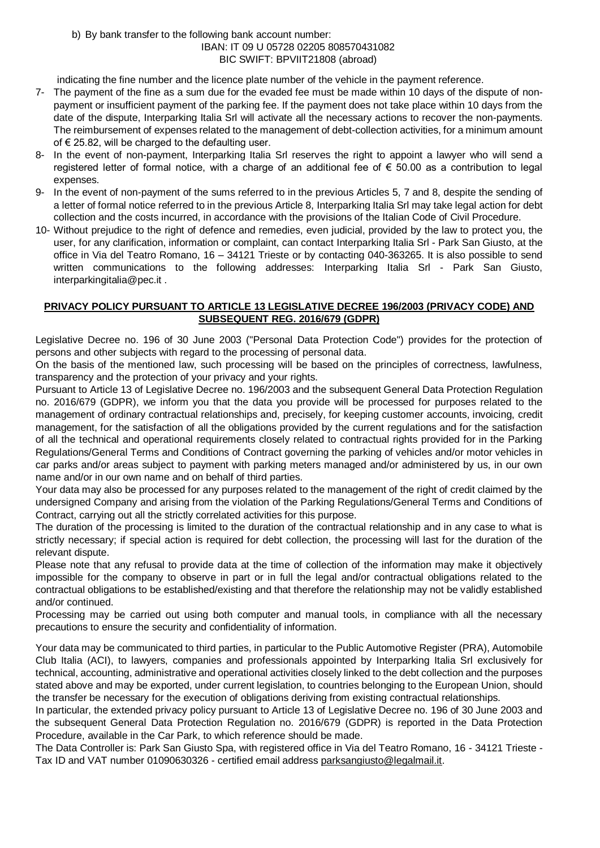b) By bank transfer to the following bank account number: IBAN: IT 09 U 05728 02205 808570431082 BIC SWIFT: BPVIIT21808 (abroad)

indicating the fine number and the licence plate number of the vehicle in the payment reference.

- 7- The payment of the fine as a sum due for the evaded fee must be made within 10 days of the dispute of nonpayment or insufficient payment of the parking fee. If the payment does not take place within 10 days from the date of the dispute, Interparking Italia Srl will activate all the necessary actions to recover the non-payments. The reimbursement of expenses related to the management of debt-collection activities, for a minimum amount of € 25.82, will be charged to the defaulting user.
- 8- In the event of non-payment, Interparking Italia Srl reserves the right to appoint a lawyer who will send a registered letter of formal notice, with a charge of an additional fee of € 50.00 as a contribution to legal expenses.
- 9- In the event of non-payment of the sums referred to in the previous Articles 5, 7 and 8, despite the sending of a letter of formal notice referred to in the previous Article 8, Interparking Italia Srl may take legal action for debt collection and the costs incurred, in accordance with the provisions of the Italian Code of Civil Procedure.
- 10- Without prejudice to the right of defence and remedies, even judicial, provided by the law to protect you, the user, for any clarification, information or complaint, can contact Interparking Italia Srl - Park San Giusto, at the office in Via del Teatro Romano, 16 – 34121 Trieste or by contacting 040-363265. It is also possible to send written communications to the following addresses: Interparking Italia Srl - Park San Giusto, interparkingitalia@pec.it .

## **PRIVACY POLICY PURSUANT TO ARTICLE 13 LEGISLATIVE DECREE 196/2003 (PRIVACY CODE) AND SUBSEQUENT REG. 2016/679 (GDPR)**

Legislative Decree no. 196 of 30 June 2003 ("Personal Data Protection Code") provides for the protection of persons and other subjects with regard to the processing of personal data.

On the basis of the mentioned law, such processing will be based on the principles of correctness, lawfulness, transparency and the protection of your privacy and your rights.

Pursuant to Article 13 of Legislative Decree no. 196/2003 and the subsequent General Data Protection Regulation no. 2016/679 (GDPR), we inform you that the data you provide will be processed for purposes related to the management of ordinary contractual relationships and, precisely, for keeping customer accounts, invoicing, credit management, for the satisfaction of all the obligations provided by the current regulations and for the satisfaction of all the technical and operational requirements closely related to contractual rights provided for in the Parking Regulations/General Terms and Conditions of Contract governing the parking of vehicles and/or motor vehicles in car parks and/or areas subject to payment with parking meters managed and/or administered by us, in our own name and/or in our own name and on behalf of third parties.

Your data may also be processed for any purposes related to the management of the right of credit claimed by the undersigned Company and arising from the violation of the Parking Regulations/General Terms and Conditions of Contract, carrying out all the strictly correlated activities for this purpose.

The duration of the processing is limited to the duration of the contractual relationship and in any case to what is strictly necessary; if special action is required for debt collection, the processing will last for the duration of the relevant dispute.

Please note that any refusal to provide data at the time of collection of the information may make it objectively impossible for the company to observe in part or in full the legal and/or contractual obligations related to the contractual obligations to be established/existing and that therefore the relationship may not be validly established and/or continued.

Processing may be carried out using both computer and manual tools, in compliance with all the necessary precautions to ensure the security and confidentiality of information.

Your data may be communicated to third parties, in particular to the Public Automotive Register (PRA), Automobile Club Italia (ACI), to lawyers, companies and professionals appointed by Interparking Italia Srl exclusively for technical, accounting, administrative and operational activities closely linked to the debt collection and the purposes stated above and may be exported, under current legislation, to countries belonging to the European Union, should the transfer be necessary for the execution of obligations deriving from existing contractual relationships.

In particular, the extended privacy policy pursuant to Article 13 of Legislative Decree no. 196 of 30 June 2003 and the subsequent General Data Protection Regulation no. 2016/679 (GDPR) is reported in the Data Protection Procedure, available in the Car Park, to which reference should be made.

The Data Controller is: Park San Giusto Spa, with registered office in Via del Teatro Romano, 16 - 34121 Trieste - Tax ID and VAT number 01090630326 - certified email address [parksangiusto@legalmail.it.](mailto:parksangiusto@legalmail.it)